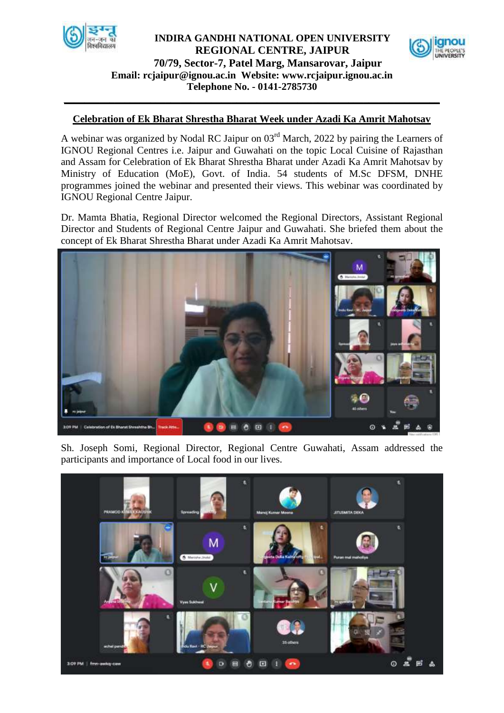

## **Email: [rcjaipur@ignou.ac.in](mailto:rcjaipur@ignou.ac.in) Website: [www.rcjaipur.ignou.ac.in](http://www.rcjaipur.ignou.ac.in/) Telephone No. - 0141-2785730 INDIRA GANDHI NATIONAL OPEN UNIVERSITY REGIONAL CENTRE, JAIPUR 70/79, Sector-7, Patel Marg, Mansarovar, Jaipur**



## **Celebration of Ek Bharat Shrestha Bharat Week under Azadi Ka Amrit Mahotsav**

**\_\_\_\_\_\_\_\_\_\_\_\_\_\_\_\_\_\_\_\_\_\_\_\_\_\_\_\_\_\_\_\_\_\_\_\_\_\_\_\_\_\_\_\_\_\_\_\_\_\_\_\_\_\_\_\_\_\_\_\_\_\_\_\_\_\_\_\_\_\_\_\_\_\_**

A webinar was organized by Nodal RC Jaipur on 03rd March, 2022 by pairing the Learners of IGNOU Regional Centres i.e. Jaipur and Guwahati on the topic Local Cuisine of Rajasthan and Assam for Celebration of Ek Bharat Shrestha Bharat under Azadi Ka Amrit Mahotsav by Ministry of Education (MoE), Govt. of India. 54 students of M.Sc DFSM, DNHE programmes joined the webinar and presented their views. This webinar was coordinated by IGNOU Regional Centre Jaipur.

Dr. Mamta Bhatia, Regional Director welcomed the Regional Directors, Assistant Regional Director and Students of Regional Centre Jaipur and Guwahati. She briefed them about the concept of Ek Bharat Shrestha Bharat under Azadi Ka Amrit Mahotsav.



Sh. Joseph Somi, Regional Director, Regional Centre Guwahati, Assam addressed the participants and importance of Local food in our lives.

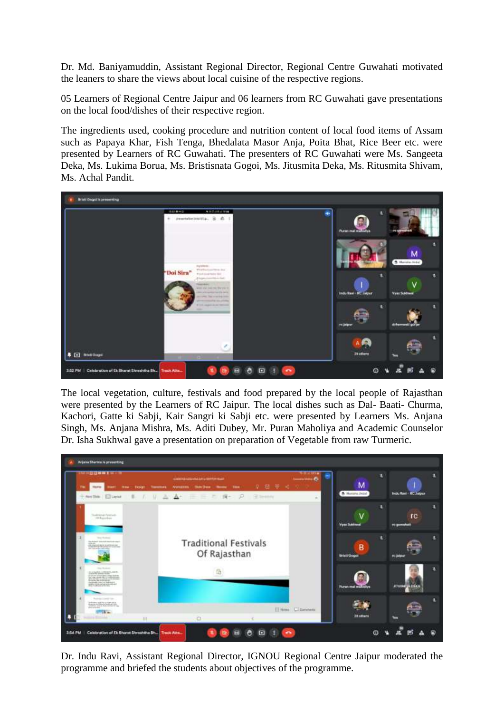Dr. Md. Baniyamuddin, Assistant Regional Director, Regional Centre Guwahati motivated the leaners to share the views about local cuisine of the respective regions.

05 Learners of Regional Centre Jaipur and 06 learners from RC Guwahati gave presentations on the local food/dishes of their respective region.

The ingredients used, cooking procedure and nutrition content of local food items of Assam such as Papaya Khar, Fish Tenga, Bhedalata Masor Anja, Poita Bhat, Rice Beer etc. were presented by Learners of RC Guwahati. The presenters of RC Guwahati were Ms. Sangeeta Deka, Ms. Lukima Borua, Ms. Bristisnata Gogoi, Ms. Jitusmita Deka, Ms. Ritusmita Shivam, Ms. Achal Pandit.



The local vegetation, culture, festivals and food prepared by the local people of Rajasthan were presented by the Learners of RC Jaipur. The local dishes such as Dal- Baati- Churma, Kachori, Gatte ki Sabji, Kair Sangri ki Sabji etc. were presented by Learners Ms. Anjana Singh, Ms. Anjana Mishra, Ms. Aditi Dubey, Mr. Puran Maholiya and Academic Counselor Dr. Isha Sukhwal gave a presentation on preparation of Vegetable from raw Turmeric.



Dr. Indu Ravi, Assistant Regional Director, IGNOU Regional Centre Jaipur moderated the programme and briefed the students about objectives of the programme.